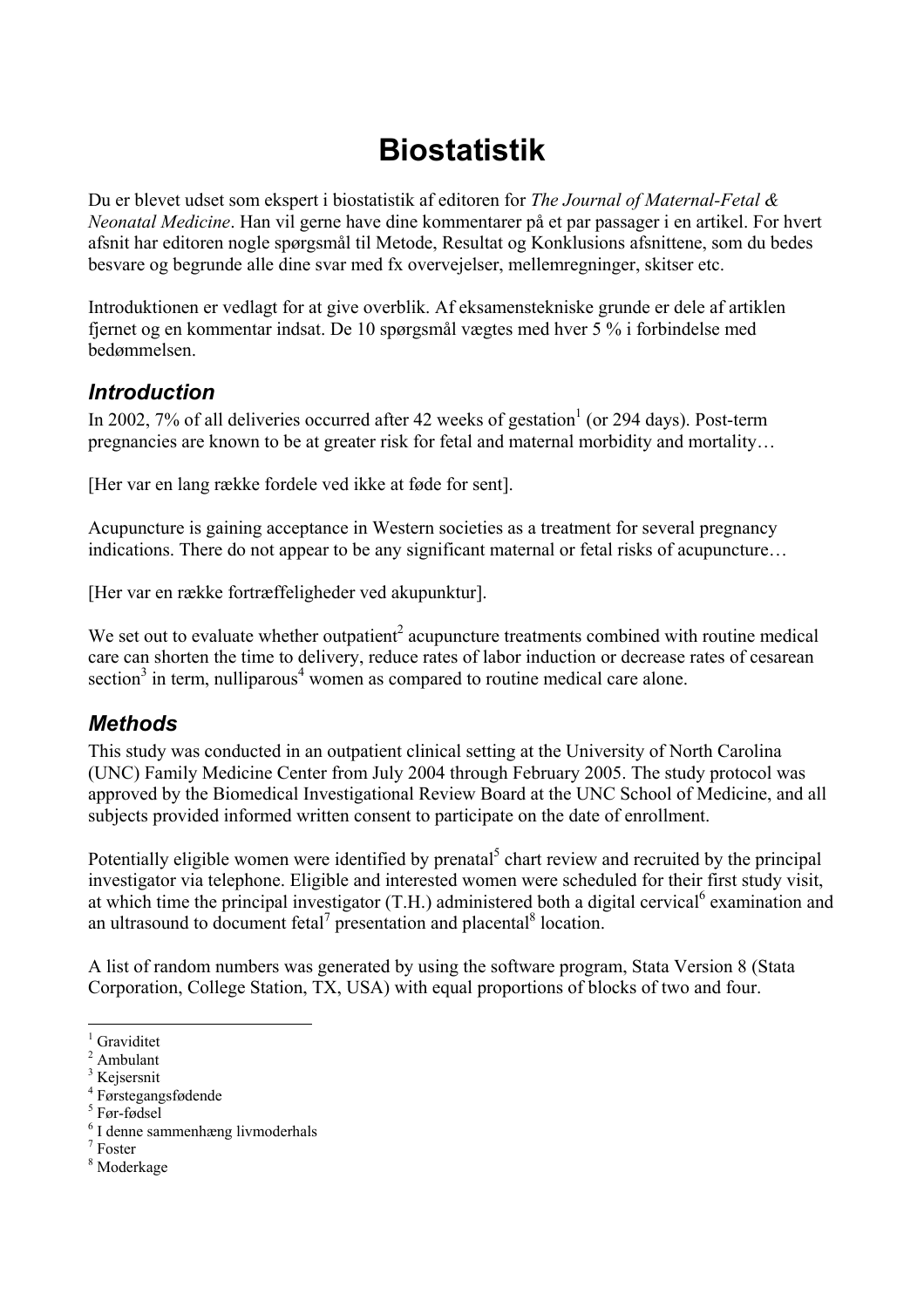# **Biostatistik**

Du er blevet udset som ekspert i biostatistik af editoren for *The Journal of Maternal-Fetal & Neonatal Medicine*. Han vil gerne have dine kommentarer på et par passager i en artikel. For hvert afsnit har editoren nogle spørgsmål til Metode, Resultat og Konklusions afsnittene, som du bedes besvare og begrunde alle dine svar med fx overvejelser, mellemregninger, skitser etc.

Introduktionen er vedlagt for at give overblik. Af eksamenstekniske grunde er dele af artiklen fjernet og en kommentar indsat. De 10 spørgsmål vægtes med hver 5 % i forbindelse med bedømmelsen.

## *Introduction*

In 2002, 7% of all deliveries occurred after 42 weeks of gestation<sup>[1](#page-0-0)</sup> (or 294 days). Post-term pregnancies are known to be at greater risk for fetal and maternal morbidity and mortality…

[Her var en lang række fordele ved ikke at føde for sent].

Acupuncture is gaining acceptance in Western societies as a treatment for several pregnancy indications. There do not appear to be any significant maternal or fetal risks of acupuncture...

[Her var en række fortræffeligheder ved akupunktur].

We set out to evaluate whether outpatient<sup>2</sup> acupuncture treatments combined with routine medical care can shorten the time to delivery, reduce rates of labor induction or decrease rates of cesarean section<sup>[3](#page-0-2)</sup>in term, nulliparous<sup>4</sup> women as compared to routine medical care alone.

### *Methods*

This study was conducted in an outpatient clinical setting at the University of North Carolina (UNC) Family Medicine Center from July 2004 through February 2005. The study protocol was approved by the Biomedical Investigational Review Board at the UNC School of Medicine, and all subjects provided informed written consent to participate on the date of enrollment.

Potentially eligible women were identified by prenatal<sup>[5](#page-0-4)</sup> chart review and recruited by the principal investigator via telephone. Eligible and interested women were scheduled for their first study visit, at which time the principal investigator  $(T.H.)$  administered both a digital cervical<sup>6</sup> examination and an ultrasound to document fetal<sup>[7](#page-0-6)</sup>presentation and placental<sup>8</sup> location.

A list of random numbers was generated by using the software program, Stata Version 8 (Stata Corporation, College Station, TX, USA) with equal proportions of blocks of two and four.

<span id="page-0-0"></span> $\overline{a}$ <sup>1</sup> Graviditet

<span id="page-0-1"></span><sup>2</sup> Ambulant

<span id="page-0-2"></span><sup>&</sup>lt;sup>3</sup> Kejsersnit

<span id="page-0-3"></span><sup>4</sup> Førstegangsfødende

<span id="page-0-4"></span><sup>5</sup> Før-fødsel

<span id="page-0-5"></span><sup>6</sup> I denne sammenhæng livmoderhals

<span id="page-0-6"></span><sup>7</sup> Foster

<span id="page-0-7"></span><sup>8</sup> Moderkage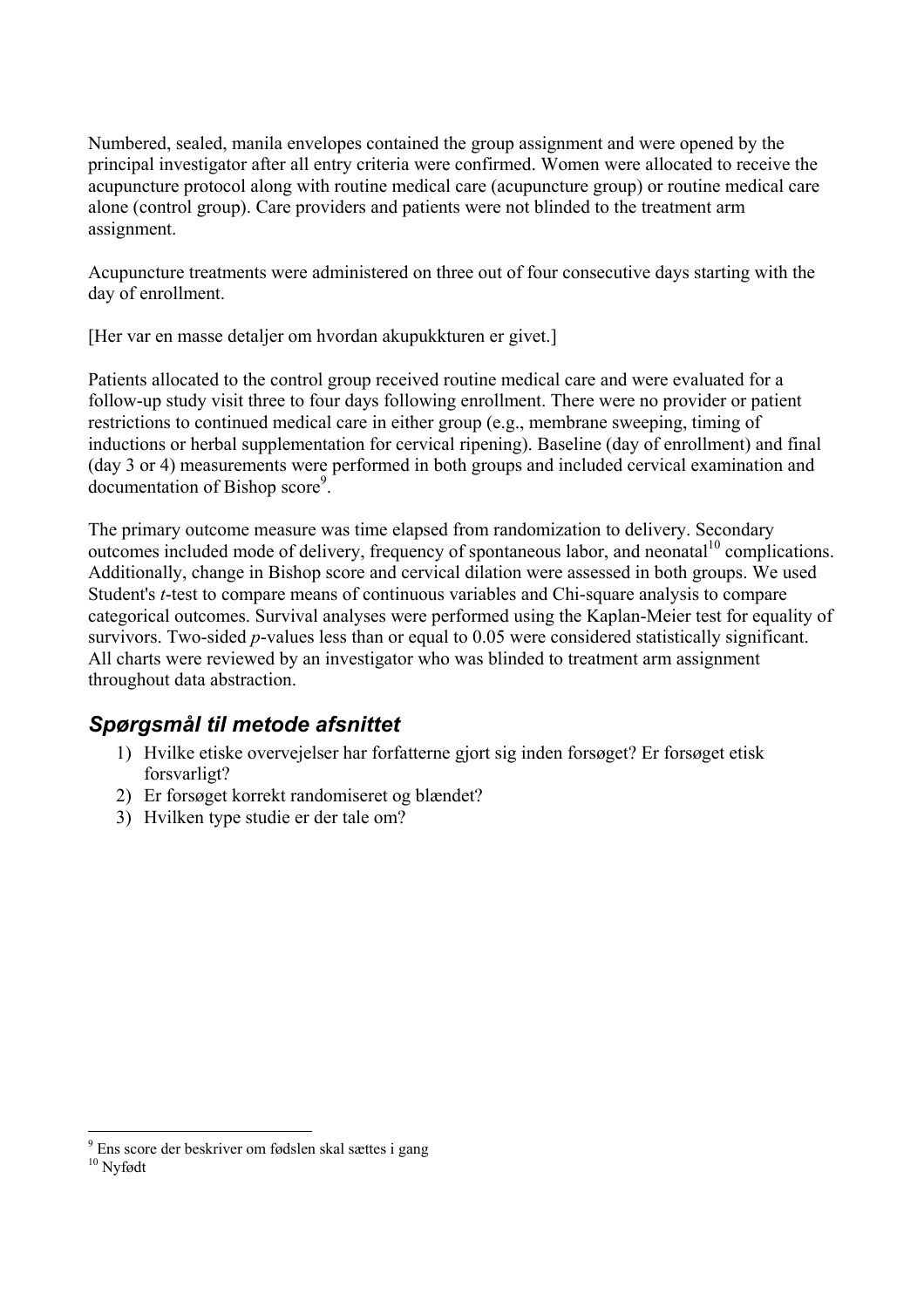Numbered, sealed, manila envelopes contained the group assignment and were opened by the principal investigator after all entry criteria were confirmed. Women were allocated to receive the acupuncture protocol along with routine medical care (acupuncture group) or routine medical care alone (control group). Care providers and patients were not blinded to the treatment arm assignment.

Acupuncture treatments were administered on three out of four consecutive days starting with the day of enrollment.

[Her var en masse detaljer om hvordan akupukkturen er givet.]

Patients allocated to the control group received routine medical care and were evaluated for a follow-up study visit three to four days following enrollment. There were no provider or patient restrictions to continued medical care in either group (e.g., membrane sweeping, timing of inductions or herbal supplementation for cervical ripening). Baseline (day of enrollment) and final (day 3 or 4) measurements were performed in both groups and included cervical examination and documentation of Bishop score<sup>[9](#page-1-0)</sup>.

The primary outcome measure was time elapsed from randomization to delivery. Secondary outcomes included mode of delivery, frequency of spontaneous labor, and neonatal<sup>10</sup> complications. Additionally, change in Bishop score and cervical dilation were assessed in both groups. We used Student's *t*-test to compare means of continuous variables and Chi-square analysis to compare categorical outcomes. Survival analyses were performed using the Kaplan-Meier test for equality of survivors. Two-sided *p*-values less than or equal to 0.05 were considered statistically significant. All charts were reviewed by an investigator who was blinded to treatment arm assignment throughout data abstraction.

### *Spørgsmål til metode afsnittet*

- 1) Hvilke etiske overvejelser har forfatterne gjort sig inden forsøget? Er forsøget etisk forsvarligt?
- 2) Er forsøget korrekt randomiseret og blændet?
- 3) Hvilken type studie er der tale om?

<span id="page-1-1"></span><span id="page-1-0"></span> $\overline{a}$ <sup>9</sup> Ens score der beskriver om fødslen skal sættes i gang 10 Nyfødt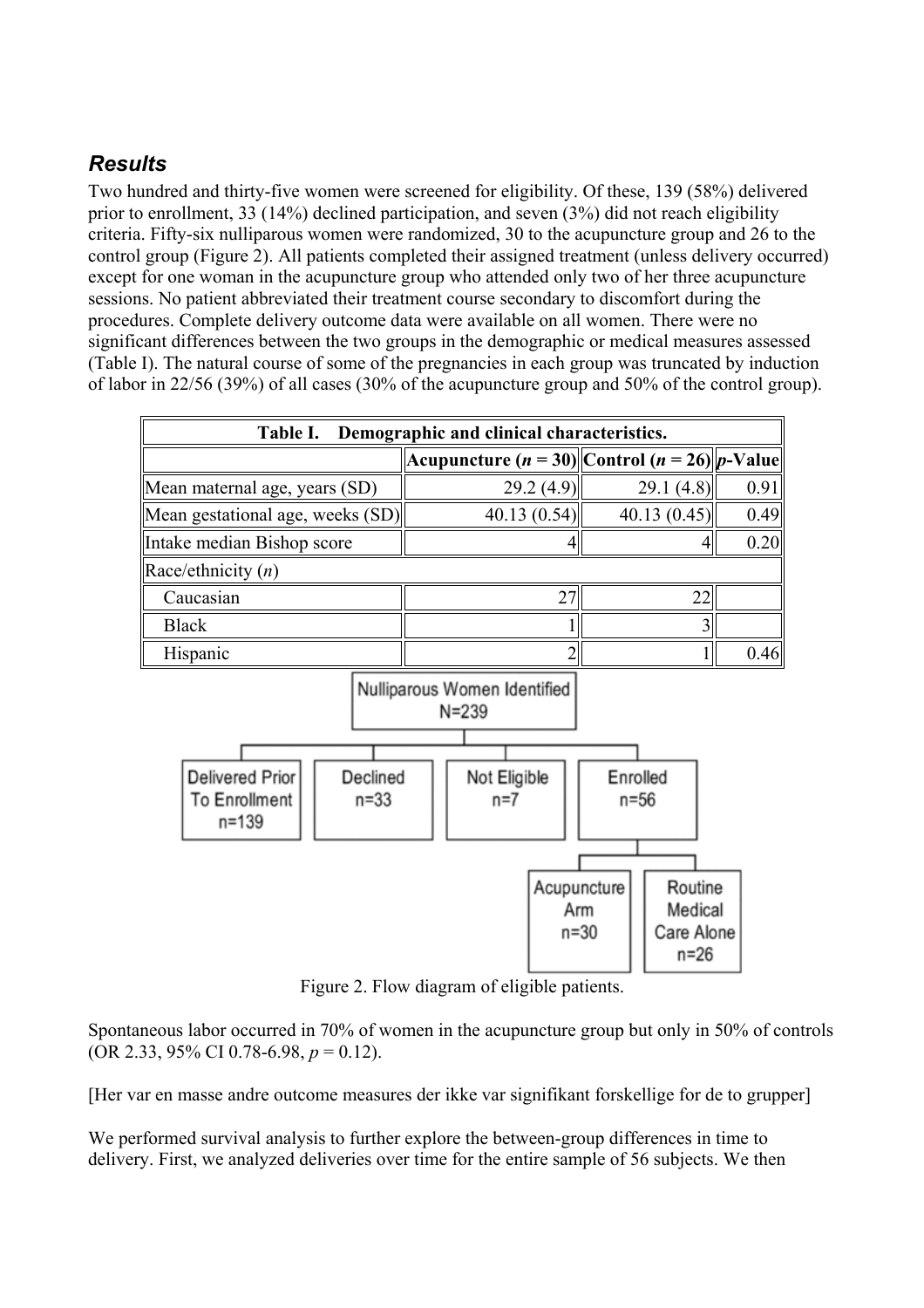# *Results*

Two hundred and thirty-five women were screened for eligibility. Of these, 139 (58%) delivered prior to enrollment, 33 (14%) declined participation, and seven (3%) did not reach eligibility criteria. Fifty-six nulliparous women were randomized, 30 to the acupuncture group and 26 to the control group (Figure 2). All patients completed their assigned treatment (unless delivery occurred) except for one woman in the acupuncture group who attended only two of her three acupuncture sessions. No patient abbreviated their treatment course secondary to discomfort during the procedures. Complete delivery outcome data were available on all women. There were no significant differences between the two groups in the demographic or medical measures assessed (Table I). The natural course of some of the pregnancies in each group was truncated by induction of labor in 22/56 (39%) of all cases (30% of the acupuncture group and 50% of the control group).



Figure 2. Flow diagram of eligible patients.

Spontaneous labor occurred in 70% of women in the acupuncture group but only in 50% of controls (OR 2.33, 95% CI 0.78-6.98, *p* = 0.12).

[Her var en masse andre outcome measures der ikke var signifikant forskellige for de to grupper]

We performed survival analysis to further explore the between-group differences in time to delivery. First, we analyzed deliveries over time for the entire sample of 56 subjects. We then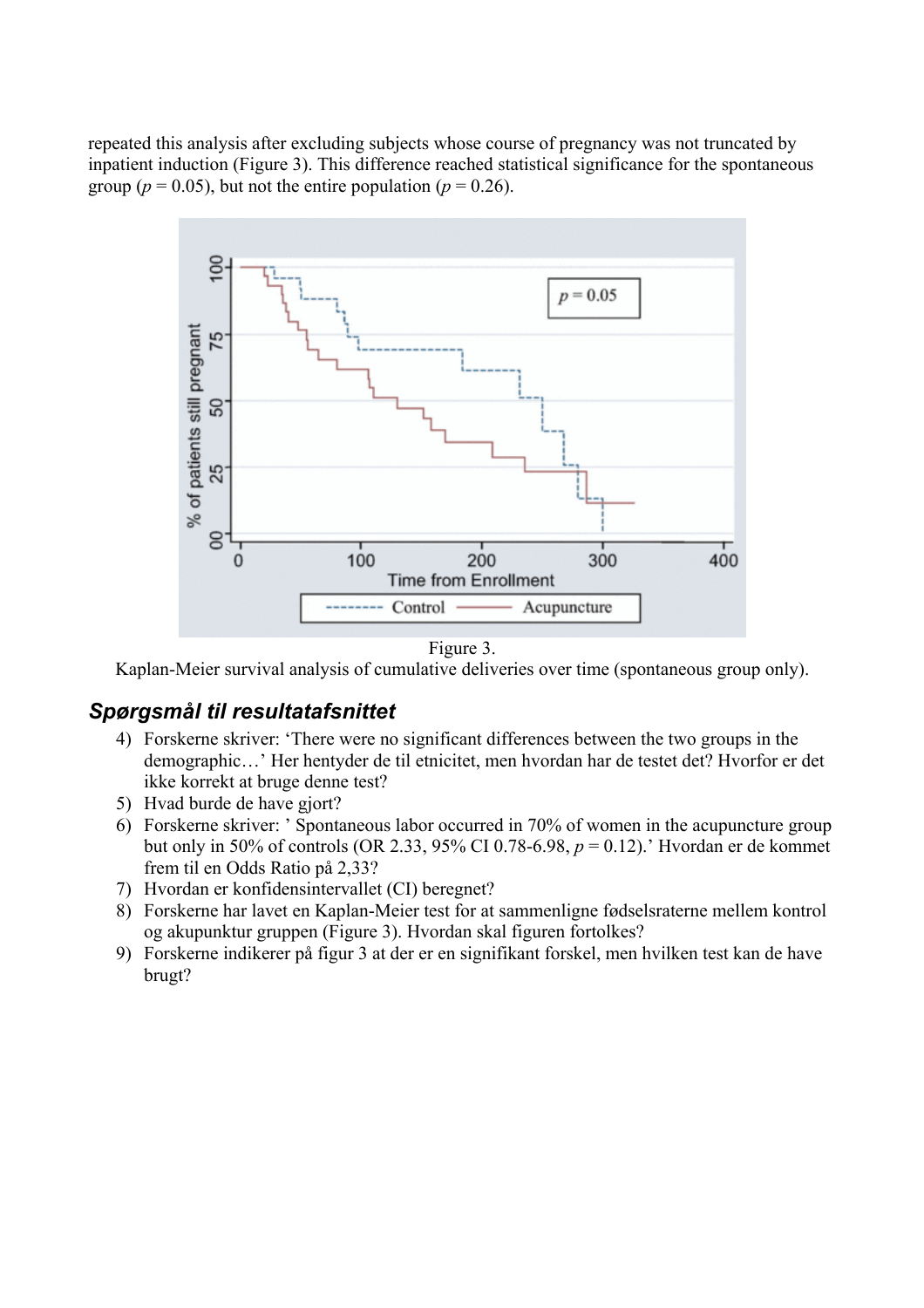repeated this analysis after excluding subjects whose course of pregnancy was not truncated by inpatient induction (Figure 3). This difference reached statistical significance for the spontaneous group ( $p = 0.05$ ), but not the entire population ( $p = 0.26$ ).



Figure 3.

Kaplan-Meier survival analysis of cumulative deliveries over time (spontaneous group only).

#### *Spørgsmål til resultatafsnittet*

- 4) Forskerne skriver: 'There were no significant differences between the two groups in the demographic…' Her hentyder de til etnicitet, men hvordan har de testet det? Hvorfor er det ikke korrekt at bruge denne test?
- 5) Hvad burde de have gjort?
- 6) Forskerne skriver: ' Spontaneous labor occurred in 70% of women in the acupuncture group but only in 50% of controls (OR 2.33, 95% CI 0.78-6.98, *p* = 0.12).' Hvordan er de kommet frem til en Odds Ratio på 2,33?
- 7) Hvordan er konfidensintervallet (CI) beregnet?
- 8) Forskerne har lavet en Kaplan-Meier test for at sammenligne fødselsraterne mellem kontrol og akupunktur gruppen (Figure 3). Hvordan skal figuren fortolkes?
- 9) Forskerne indikerer på figur 3 at der er en signifikant forskel, men hvilken test kan de have brugt?